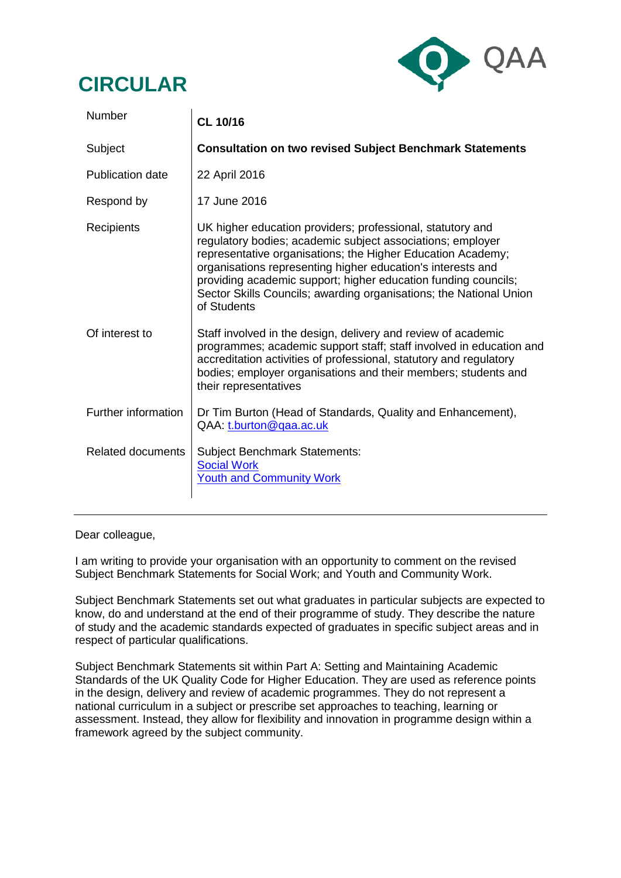## **CIRCULAR**



| Number                   | <b>CL 10/16</b>                                                                                                                                                                                                                                                                                                                                                                                               |
|--------------------------|---------------------------------------------------------------------------------------------------------------------------------------------------------------------------------------------------------------------------------------------------------------------------------------------------------------------------------------------------------------------------------------------------------------|
| Subject                  | <b>Consultation on two revised Subject Benchmark Statements</b>                                                                                                                                                                                                                                                                                                                                               |
| <b>Publication date</b>  | 22 April 2016                                                                                                                                                                                                                                                                                                                                                                                                 |
| Respond by               | 17 June 2016                                                                                                                                                                                                                                                                                                                                                                                                  |
| Recipients               | UK higher education providers; professional, statutory and<br>regulatory bodies; academic subject associations; employer<br>representative organisations; the Higher Education Academy;<br>organisations representing higher education's interests and<br>providing academic support; higher education funding councils;<br>Sector Skills Councils; awarding organisations; the National Union<br>of Students |
| Of interest to           | Staff involved in the design, delivery and review of academic<br>programmes; academic support staff; staff involved in education and<br>accreditation activities of professional, statutory and regulatory<br>bodies; employer organisations and their members; students and<br>their representatives                                                                                                         |
| Further information      | Dr Tim Burton (Head of Standards, Quality and Enhancement),<br>QAA: t.burton@qaa.ac.uk                                                                                                                                                                                                                                                                                                                        |
| <b>Related documents</b> | <b>Subject Benchmark Statements:</b><br><b>Social Work</b><br><b>Youth and Community Work</b>                                                                                                                                                                                                                                                                                                                 |

Dear colleague,

I am writing to provide your organisation with an opportunity to comment on the revised Subject Benchmark Statements for Social Work; and Youth and Community Work.

Subject Benchmark Statements set out what graduates in particular subjects are expected to know, do and understand at the end of their programme of study. They describe the nature of study and the academic standards expected of graduates in specific subject areas and in respect of particular qualifications.

Subject Benchmark Statements sit within Part A: Setting and Maintaining Academic Standards of the UK Quality Code for Higher Education. They are used as reference points in the design, delivery and review of academic programmes. They do not represent a national curriculum in a subject or prescribe set approaches to teaching, learning or assessment. Instead, they allow for flexibility and innovation in programme design within a framework agreed by the subject community.